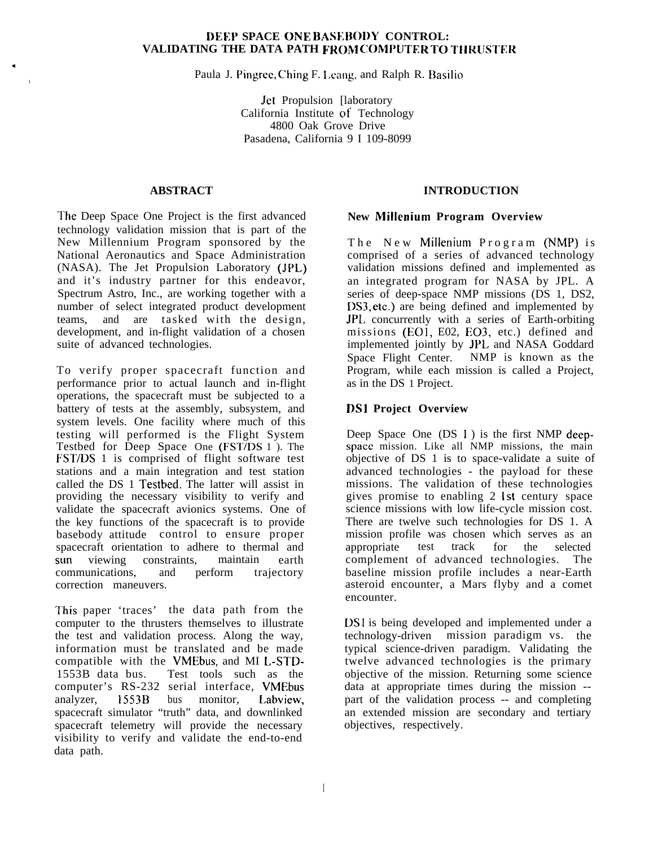#### **DEEP SPACE ONE BASEBO1)Y CONTROL: VALIDATING THE DATA PATH FROM COMf'UTER TO** T1[RUSTER

Paula J. Pingree, Ching F. Leang, and Ralph R. Basilio

Jet Propulsion [laboratory California Institute of Technology 4800 Oak Grove Drive Pasadena, California 9 I 109-8099

#### **ABSTRACT**

.

4

The Deep Space One Project is the first advanced technology validation mission that is part of the New Millennium Program sponsored by the National Aeronautics and Space Administration (NASA). The Jet Propulsion Laboratory (JPL) and it's industry partner for this endeavor, Spectrum Astro, Inc., are working together with a number of select integrated product development teams, and are tasked with the design, development, and in-flight validation of a chosen suite of advanced technologies.

To verify proper spacecraft function and performance prior to actual launch and in-flight operations, the spacecraft must be subjected to a battery of tests at the assembly, subsystem, and system levels. One facility where much of this testing will performed is the Flight System Testbed for Deep Space One (FST/DS 1 ). The FST/DS 1 is comprised of flight software test stations and a main integration and test station called the DS 1 Testbed. The latter will assist in providing the necessary visibility to verify and validate the spacecraft avionics systems. One of the key functions of the spacecraft is to provide basebody attitude control to ensure proper spacecraft orientation to adhere to thermal and sun viewing constraints, maintain earth communications, and perform trajectory correction maneuvers.

This paper 'traces' the data path from the computer to the thrusters themselves to illustrate the test and validation process. Along the way, information must be translated and be made compatible with the VMEbus, and MI L-STD-<br>1553B data bus. Test tools such as the Test tools such as the computer's RS-232 serial interface, VMEbus analyzer, 1553B bus monitor, Labview, spacecraft simulator "truth" data, and downlinked spacecraft telemetry will provide the necessary visibility to verify and validate the end-to-end data path.

## **INTRODUCTION**

#### **New Millenium Program Overview**

The New Millenium Program (NMP) is comprised of a series of advanced technology validation missions defined and implemented as an integrated program for NASA by JPL. A series of deep-space NMP missions (DS 1, DS2, DS3, etc.) are being defined and implemented by JPL concurrently with a series of Earth-orbiting missions (EOI, E02, E03, etc.) defined and implemented jointly by JPL and NASA Goddard Space Flight Center. NMP is known as the Program, while each mission is called a Project, as in the DS 1 Project.

## **DS1 Project Overview**

Deep Space One (DS 1) is the first NMP deepspacc mission. Like all NMP missions, the main objective of DS 1 is to space-validate a suite of advanced technologies - the payload for these missions. The validation of these technologies gives promise to enabling 2 1st century space science missions with low life-cycle mission cost. There are twelve such technologies for DS 1. A mission profile was chosen which serves as an appropriate test track for the selected complement of advanced technologies. The baseline mission profile includes a near-Earth asteroid encounter, a Mars flyby and a comet encounter.

DS1 is being developed and implemented under a technology-driven mission paradigm vs. the typical science-driven paradigm. Validating the twelve advanced technologies is the primary objective of the mission. Returning some science data at appropriate times during the mission - part of the validation process -- and completing an extended mission are secondary and tertiary objectives, respectively.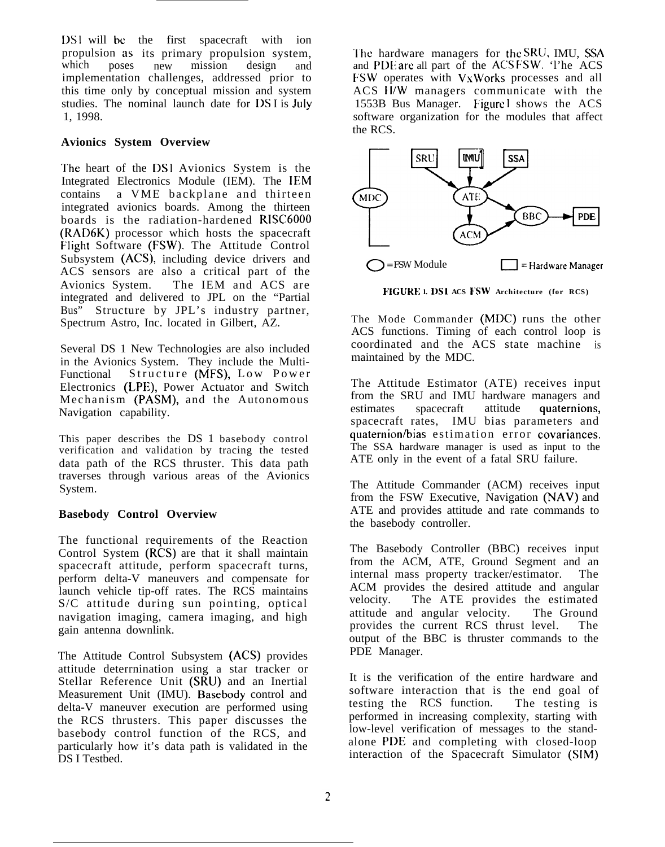[Xeta ] DS1 will be the first spacecraft with ion propulsion as its primary propulsion system,<br>which poses new mission design and mission design and implementation challenges, addressed prior to this time only by conceptual mission and system studies. The nominal launch date for DSI is July 1, 1998.

#### **Avionics System Overview**

The heart of the DS1 Avionics System is the Integrated Electronics Module (IEM). The IEM contains a VME backplane and thirteen integrated avionics boards. Among the thirteen boards is the radiation-hardened R1SC6000 (RAD6K) processor which hosts the spacecraft Flight Software (FSW). The Attitude Control Subsystem (ACS), including device drivers and ACS sensors are also a critical part of the<br>Avionics System. The IEM and ACS are The IEM and ACS are integrated and delivered to JPL on the "Partial Bus" Structure by JPL's industry partner, Spectrum Astro, Inc. located in Gilbert, AZ.

Several DS 1 New Technologies are also included in the Avionics System. They include the Multi-Functional Structure (MFS), Low Power Electronics (LPE), Power Actuator and Switch Mechanism (PASM), and the Autonomous Navigation capability.

This paper describes the DS 1 basebody control verification and validation by tracing the tested data path of the RCS thruster. This data path traverses through various areas of the Avionics System.

## **Basebody Control Overview**

The functional requirements of the Reaction Control System  $(R\tilde{C}S)$  are that it shall maintain spacecraft attitude, perform spacecraft turns, perform delta-V maneuvers and compensate for launch vehicle tip-off rates. The RCS maintains S/C attitude during sun pointing, optical navigation imaging, camera imaging, and high gain antenna downlink.

The Attitude Control Subsystem (ACS) provides attitude deterrnination using a star tracker or Stellar Reference Unit (SRU) and an Inertial Measurement Unit (IMU). Basebody control and delta-V maneuver execution are performed using the RCS thrusters. This paper discusses the basebody control function of the RCS, and particularly how it's data path is validated in the DS I Testbed.

The hardware managers for the SRU, IMU, SSA and PDE arc all part of the ACS FSW. 'l'he ACS FSW operates with VxWorks processes and all ACS tl/W managers communicate with the 1553B Bus Manager. Figure I shows the ACS software organization for the modules that affect the RCS.



**FIGURE 1. 1)S1 ACS FSW Architecture (for RCS)**

The Mode Commander (MDC) runs the other ACS functions. Timing of each control loop is coordinated and the ACS state machine is maintained by the MDC.

The Attitude Estimator (ATE) receives input from the SRU and IMU hardware managers and estimates spacecraft attitude quaternions, spacecraft rates, IMU bias parameters and quaternion/bias estimation error covariances. The SSA hardware manager is used as input to the ATE only in the event of a fatal SRU failure.

The Attitude Commander (ACM) receives input from the FSW Executive, Navigation (NAV) and ATE and provides attitude and rate commands to the basebody controller.

The Basebody Controller (BBC) receives input from the ACM, ATE, Ground Segment and an internal mass property tracker/estimator. The ACM provides the desired attitude and angular velocity. The ATE provides the estimated attitude and angular velocity. The Ground provides the current RCS thrust level. The output of the BBC is thruster commands to the PDE Manager.

It is the verification of the entire hardware and software interaction that is the end goal of testing the RCS function. The testing is performed in increasing complexity, starting with low-level verification of messages to the standalone PDE and completing with closed-loop interaction of the Spacecraft Simulator (SIM)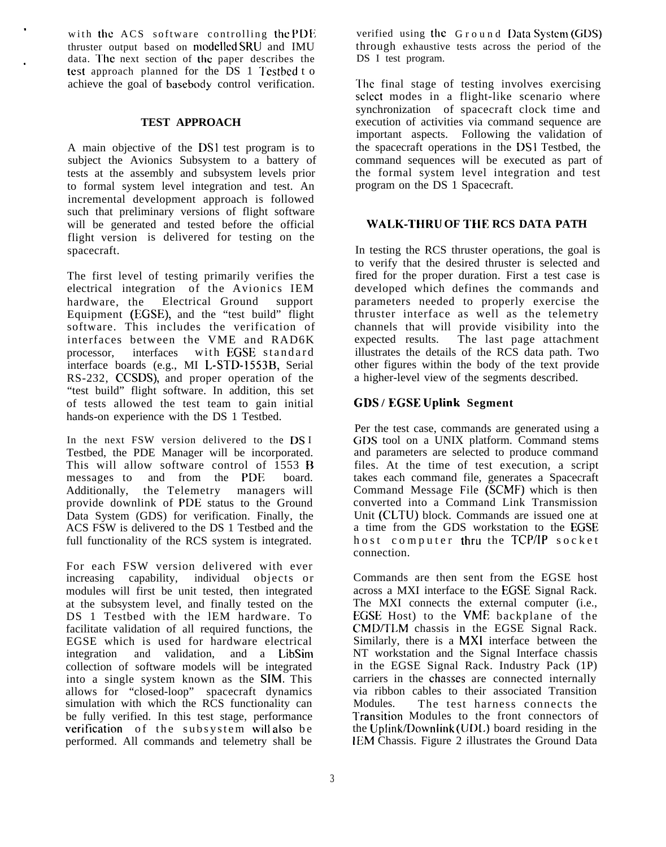with the  $ACS$  software controlling the PDE thruster output based on rnodellcd SRU and IMU data. The next section of the paper describes the test approach planned for the DS 1 Testbed t o achieve the goal of basebody control verification.

#### **TEST APPROACH**

A main objective of the DSI test program is to subject the Avionics Subsystem to a battery of tests at the assembly and subsystem levels prior to formal system level integration and test. An incremental development approach is followed such that preliminary versions of flight software will be generated and tested before the official flight version is delivered for testing on the spacecraft.

The first level of testing primarily verifies the electrical integration of the Avionics IEM hardware, the Electrical Ground support Equipment (FGSE), and the "test build" flight software. This includes the verification of interfaces between the VME and RAD6K processor, interfaces with EGSE standard interface boards (e.g., MI L-STD- 1553B, Serial RS-232, CCSDS), and proper operation of the "test build" flight software. In addition, this set of tests allowed the test team to gain initial hands-on experience with the DS 1 Testbed.

In the next FSW version delivered to the DS I Testbed, the PDE Manager will be incorporated. This will allow software control of 1553 B messages to and from the PDE board. Additionally, the Telemetry managers will provide downlink of PDE status to the Ground Data System (GDS) for verification. Finally, the ACS FSW is delivered to the DS 1 Testbed and the full functionality of the RCS system is integrated.

For each FSW version delivered with ever increasing capability, individual objects or modules will first be unit tested, then integrated at the subsystem level, and finally tested on the DS 1 Testbed with the lEM hardware. To facilitate validation of all required functions, the EGSE which is used for hardware electrical integration and validation, and a LibSim collection of software models will be integrated into a single system known as the SIM. This allows for "closed-loop" spacecraft dynamics simulation with which the RCS functionality can be fully verified. In this test stage, performance verification of the subsystem will also be performed. All commands and telemetry shall be

verified using the Ground Data System (GDS) through exhaustive tests across the period of the DS I test program.

The final stage of testing involves exercising select modes in a flight-like scenario where synchronization of spacecraft clock time and execution of activities via command sequence are important aspects. Following the validation of the spacecraft operations in the DSI Testbed, the command sequences will be executed as part of the formal system level integration and test program on the DS 1 Spacecraft.

## **WALK-THRU OF THE RCS DATA PATH**

In testing the RCS thruster operations, the goal is to verify that the desired thruster is selected and fired for the proper duration. First a test case is developed which defines the commands and parameters needed to properly exercise the thruster interface as well as the telemetry channels that will provide visibility into the expected results. The last page attachment illustrates the details of the RCS data path. Two other figures within the body of the text provide a higher-level view of the segments described.

#### **CDS / EGSE Uplink Segment**

Per the test case, commands are generated using a GDS tool on a UNIX platform. Command stems and parameters are selected to produce command files. At the time of test execution, a script takes each command file, generates a Spacecraft Command Message File (SCMF) which is then converted into a Command Link Transmission Unit (CLTU) block. Commands are issued one at a time from the GDS workstation to the EGSE host computer thru the TCP/IP socket connection.

Commands are then sent from the EGSE host across a MXI interface to the EGSE Signal Rack. The MXI connects the external computer (i.e., EGSE Host) to the VME backplane of the CMD/TLM chassis in the EGSE Signal Rack. Similarly, there is a MXI interface between the NT workstation and the Signal Interface chassis in the EGSE Signal Rack. Industry Pack (1P) carriers in the chasses are connected internally via ribbon cables to their associated Transition Modules. The test harness connects the I'ransition Modules to the front connectors of the Uplink/Downlink (UDL) board residing in the IEM Chassis. Figure 2 illustrates the Ground Data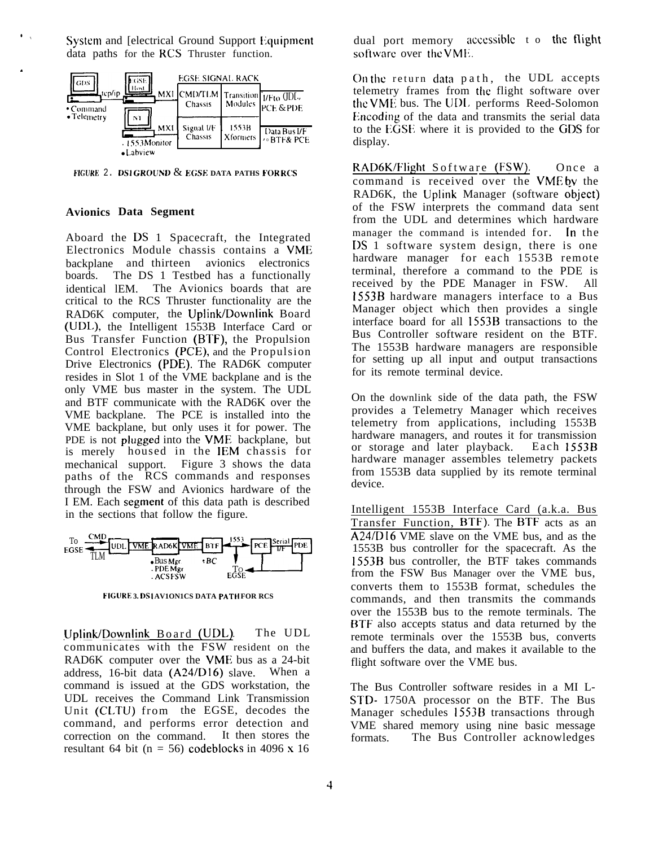System and [electrical Ground Support Equipment] data paths for the RCS Thruster function.



FIGURE 2. DS1GROUND & EGSE DATA PATHS FORRCS

#### **Avionics Data Segment**

Aboard the DS 1 Spacecraft, the Integrated Electronics Module chassis contains a VME backplane and thirteen avionics electronics boards. The DS 1 Testbed has a functionally identical IEM. The Avionics boards that are critical to the RCS Thruster functionality are the RAD6K computer, the Uplink/Downlink Board (UDL), the Intelligent 1553B Interface Card or Bus Transfer Function (BTF), the Propulsion Control Electronics (PCE), and the Propulsion Drive Electronics (PDE). The RAD6K computer resides in Slot 1 of the VME backplane and is the only VME bus master in the system. The UDL and BTF communicate with the RAD6K over the VME backplane. The PCE is installed into the VME backplane, but only uses it for power. The PDE is not plugged into the VME backplane, but is merely housed in the IEM chassis for mechanical support. Figure 3 shows the data paths of the RCS commands and responses through the FSW and Avionics hardware of the I EM. Each segment of this data path is described in the sections that follow the figure.



FIGURE 3. DS1 AV1ON1CS DATA PATH FOR RCS

Uplink/Downlink Board (UDL). The UDL communicates with the FSW resident on the RAD6K computer over the VME bus as a 24-bit address, 16-bit data (A24/D16) slave. When a command is issued at the GDS workstation, the UDL receives the Command Link Transmission Unit (CLTU) from the EGSE, decodes the command, and performs error detection and correction on the command. It then stores the resultant 64 bit ( $n = 56$ ) codeblocks in 4096 x 16

dual port memory accessible t o the flight software over the VME.

On the return data path, the UDL accepts telemetry frames from the flight software over the VME bus. The UDL performs Reed-Solomon Encoding of the data and transmits the serial data to the EGSE where it is provided to the GDS for display.

RAD6K/Flight Software (FSW). Once a command is received over the VME by the RAD6K, the Uplink Manager (software object) of the FSW interprets the command data sent from the UDL and determines which hardware manager the command is intended for. In the DS 1 software system design, there is one hardware manager for each 1553B remote terminal, therefore a command to the PDE is received by the PDE Manager in FSW. All 1553B hardware managers interface to a Bus Manager object which then provides a single interface board for all 1553B transactions to the Bus Controller software resident on the BTF. The 1553B hardware managers are responsible for setting up all input and output transactions for its remote terminal device.

On the downlink side of the data path, the FSW provides a Telemetry Manager which receives telemetry from applications, including 1553B hardware managers, and routes it for transmission or storage and later playback. Each 1553B hardware manager assembles telemetry packets from 1553B data supplied by its remote terminal device.

Intelligent 1553B Interface Card (a.k.a. Bus Transfer Function, BTF). The BTF acts as an A24/D16 VME slave on the VME bus, and as the 1553B bus controller for the spacecraft. As the 1553B bus controller, the BTF takes commands from the FSW Bus Manager over the VME bus, converts them to 1553B format, schedules the commands, and then transmits the commands over the 1553B bus to the remote terminals. The BTF also accepts status and data returned by the remote terminals over the 1553B bus, converts and buffers the data, and makes it available to the flight software over the VME bus.

The Bus Controller software resides in a MI L-STD- 1750A processor on the BTF. The Bus Manager schedules 1553B transactions through VME shared memory using nine basic message The Bus Controller acknowledges formats.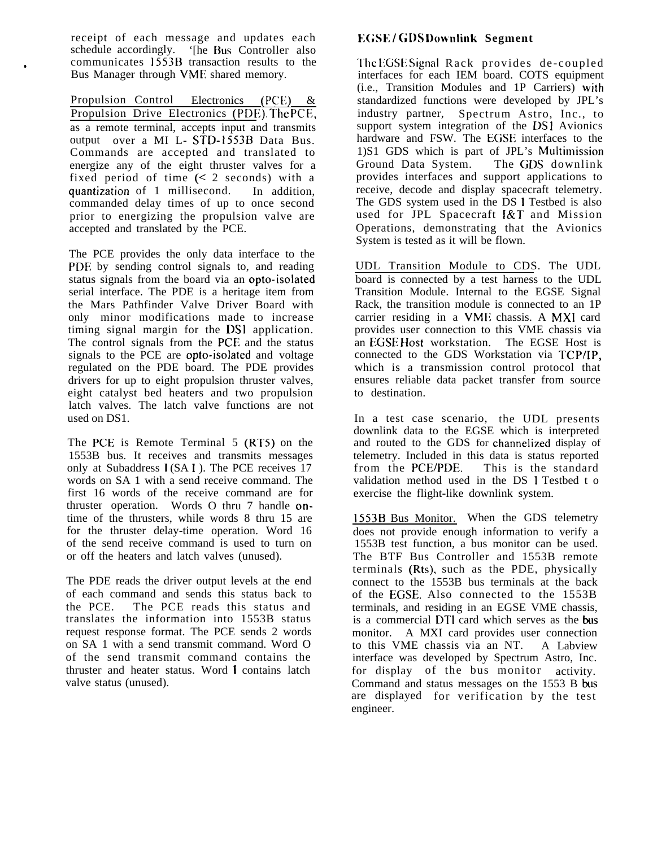receipt of each message and updates each schedule accordingly. 'The Bus Controller also communicates 1553B transaction results to the Bus Manager through VMF shared memory.

Propulsion Control Electronics (PCE) & Propulsion Drive Electronics (PDE). The PCE, as a remote terminal, accepts input and transmits output over a MI L- STD- 1553B Data Bus. Commands are accepted and translated to energize any of the eight thruster valves for a fixed period of time  $(2 \text{ seconds})$  with a quantization of 1 millisecond. In addition, commanded delay times of up to once second prior to energizing the propulsion valve are accepted and translated by the PCE.

The PCE provides the only data interface to the PDE by sending control signals to, and reading status signals from the board via an opto-isolated serial interface. The PDE is a heritage item from the Mars Pathfinder Valve Driver Board with only minor modifications made to increase timing signal margin for the DSI application. The control signals from the PCE and the status signals to the PCE are opto-isolated and voltage regulated on the PDE board. The PDE provides drivers for up to eight propulsion thruster valves, eight catalyst bed heaters and two propulsion latch valves. The latch valve functions are not used on DS1.

The PCE is Remote Terminal 5 (RT5) on the 1553B bus. It receives and transmits messages only at Subaddress 1 (SA 1). The PCE receives 17 words on SA 1 with a send receive command. The first 16 words of the receive command are for thruster operation. Words O thru 7 handle ontime of the thrusters, while words 8 thru 15 are for the thruster delay-time operation. Word 16 of the send receive command is used to turn on or off the heaters and latch valves (unused).

The PDE reads the driver output levels at the end of each command and sends this status back to the PCE. The PCE reads this status and translates the information into 1553B status request response format. The PCE sends 2 words on SA 1 with a send transmit command. Word O of the send transmit command contains the thruster and heater status. Word i contains latch valve status (unused).

# **EGSE / G1)S Downlink Segment**

The EGSE Signal Rack provides de-coupled interfaces for each IEM board. COTS equipment (i.e., Transition Modules and 1P Carriers) with standardized functions were developed by JPL's industry partner, Spectrum Astro, Inc., to support system integration of the DS1 Avionics hardware and FSW. The EGSE interfaces to the 1)S1 GDS which is part of JPL's Multimission Ground Data System. The GDS downlink provides interfaces and support applications to receive, decode and display spacecraft telemetry. The GDS system used in the DS 1 Testbed is also used for JPL Spacecraft I&T and Mission Operations, demonstrating that the Avionics System is tested as it will be flown.

UDL Transition Module to CDS. The UDL board is connected by a test harness to the UDL Transition Module. Internal to the EGSE Signal Rack, the transition module is connected to an 1P carrier residing in a VME chassis. A MXI card provides user connection to this VME chassis via an EGSE Host workstation. The EGSE Host is connected to the GDS Workstation via TCP/IP, which is a transmission control protocol that ensures reliable data packet transfer from source to destination.

In a test case scenario, the UDL presents downlink data to the EGSE which is interpreted and routed to the GDS for channelized display of telemetry. Included in this data is status reported<br>from the PCE/PDE. This is the standard This is the standard validation method used in the DS 1 Testbed t o exercise the flight-like downlink system.

1553B Bus Monitor. When the GDS telemetry does not provide enough information to verify a 1553B test function, a bus monitor can be used. The BTF Bus Controller and 1553B remote terminals (Rts), such as the PDE, physically connect to the 1553B bus terminals at the back of the EGSE. Also connected to the 1553B terminals, and residing in an EGSE VME chassis, is a commercial DTI card which serves as the bus monitor. A MXI card provides user connection to this VME chassis via an NT. A Labview interface was developed by Spectrum Astro, Inc. for display of the bus monitor activity. Command and status messages on the  $1553$  B bus are displayed for verification by the test engineer.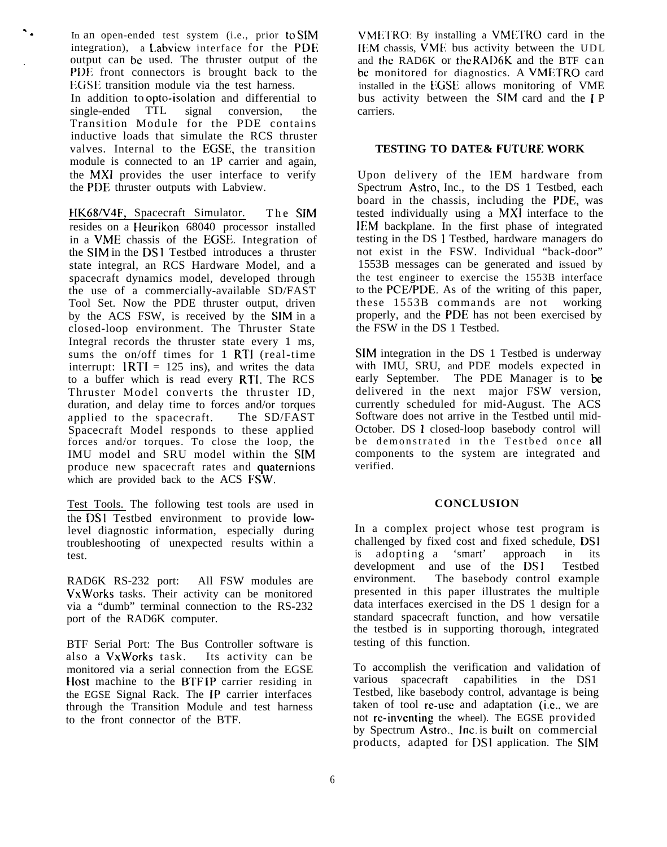In an open-ended test system (i.e., prior to SIM integration), a Labview interface for the PDE . output can be used. The thruster output of the PDE front connectors is brought back to the EGSE transition module via the test harness. In addition to opto-isolation and differential to single-ended TTL signal conversion, the Transition Module for the PDE contains inductive loads that simulate the RCS thruster valves. Internal to the EGSE, the transition module is connected to an 1P carrier and again, the MXI provides the user interface to verify the PDE; thruster outputs with Labview.

. .

> HK68/V4F, Spacecraft Simulator. The SIM resides on a Heurikon 68040 processor installed in a VME chassis of the EGSE. Integration of the SIM in the DS 1 Testbed introduces a thruster state integral, an RCS Hardware Model, and a spacecraft dynamics model, developed through the use of a commercially-available SD/FAST Tool Set. Now the PDE thruster output, driven by the ACS FSW, is received by the SIM in a closed-loop environment. The Thruster State Integral records the thruster state every 1 ms, sums the on/off times for 1 RTI (real-time interrupt:  $1RTI = 125$  ins), and writes the data to a buffer which is read every RTI. The RCS Thruster Model converts the thruster ID, duration, and delay time to forces and/or torques applied to the spacecraft. The SD/FAST Spacecraft Model responds to these applied forces and/or torques. To close the loop, the IMU model and SRU model within the SIM produce new spacecraft rates and quaternions which are provided back to the ACS FSW.

Test Tools. The following test tools are used in the DSI Testbed environment to provide lowlevel diagnostic information, especially during troubleshooting of unexpected results within a test.

RAD6K RS-232 port: All FSW modules are VxWorks tasks. Their activity can be monitored via a "dumb" terminal connection to the RS-232 port of the RAD6K computer.

BTF Serial Port: The Bus Controller software is also a VxWorks task. Its activity can be monitored via a serial connection from the EGSE Host machine to the BTFIP carrier residing in the EGSE Signal Rack. The [P carrier interfaces through the Transition Module and test harness to the front connector of the BTF.

VMETRO: By installing a VMETRO card in the [[;M chassis, VME bus activity between the U DL and the RAD6K or the RAD6K and the BTF can be monitored for diagnostics. A VMETRO card installed in the EGSE allows monitoring of VME bus activity between the SIM card and the I P carriers.

## **TESTING TO DATE& FUTURE WORK**

Upon delivery of the IEM hardware from Spectrum Astro, Inc., to the DS 1 Testbed, each board in the chassis, including the PDE, was tested individually using a MXI interface to the lFM backplane. In the first phase of integrated testing in the DS 1 Testbed, hardware managers do not exist in the FSW. Individual "back-door" 1553B messages can be generated and issued by the test engineer to exercise the 1553B interface to the PCE/PDE. As of the writing of this paper, these 1553B commands are not working properly, and the PDE has not been exercised by the FSW in the DS 1 Testbed.

SIM integration in the DS 1 Testbed is underway with IMU, SRU, and PDE models expected in early September. The PDE Manager is to be delivered in the next major FSW version, currently scheduled for mid-August. The ACS Software does not arrive in the Testbed until mid-October. DS 1 closed-loop basebody control will be demonstrated in the Testbed once all components to the system are integrated and verified.

#### **CONCLUSION**

In a complex project whose test program is challenged by fixed cost and fixed schedule, DS1 is adopting a 'smart' approach in its development and use of the DS1 Testbed environment. The basebody control example presented in this paper illustrates the multiple data interfaces exercised in the DS 1 design for a standard spacecraft function, and how versatile the testbed is in supporting thorough, integrated testing of this function.

To accomplish the verification and validation of various spacecraft capabilities in the DS1 Testbed, like basebody control, advantage is being taken of tool re-use and adaptation (i.e., we are not re-inventing the wheel). The EGSE provided by Spectrum Astro., Inc. is built on commercial products, adapted for DS1 application. The SIM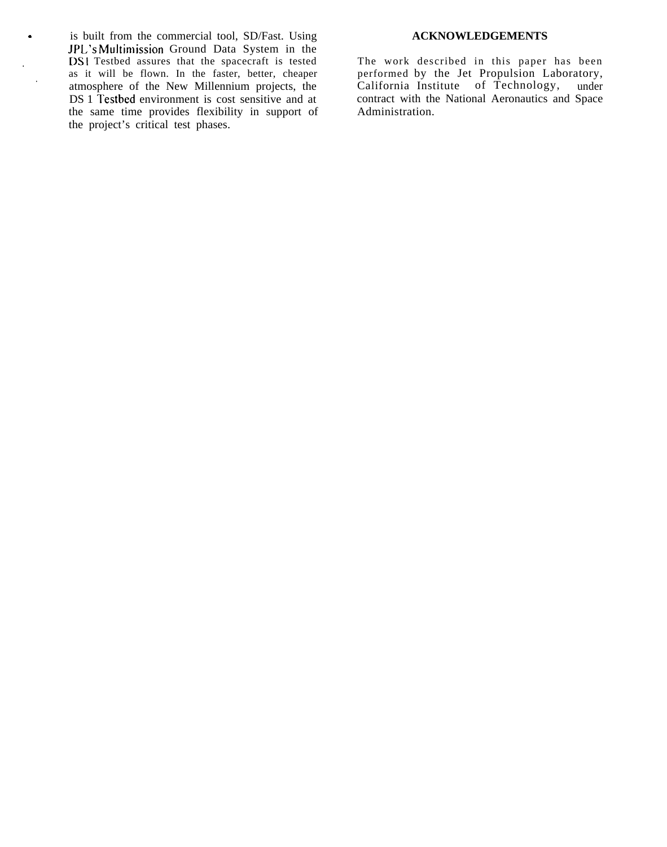. is built from the commercial tool, SD/Fast. Using **ACKNOWLEDGEMENTS** JPL's Multimission Ground Data System in the . **Insurface DS1** Testbed assures that the spacecraft is tested The work described in this paper has been as it will be flown. In the faster, better, cheaper performed by the Jet Propulsion Laboratory, as it will be flown. In the faster, better, cheaper<br>atmosphere of the New Millennium projects, the California Institute of Technology, under<br>DS 1 Testbed environment is cost sensitive and at contract with the National Aero  $DS 1$  Testbed environment is cost sensitive and at contract with the same time provides flexibility in support of Administration. the same time provides flexibility in support of the project's critical test phases.

.